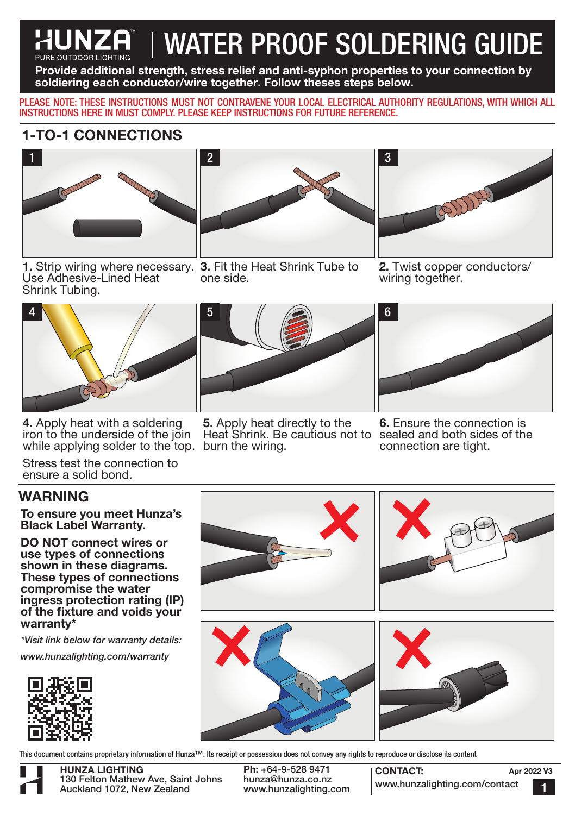# **HUNZA | WATER PROOF SOLDERING GUIDE**

Provide additional strength, stress relief and anti-syphon properties to your connection by soldiering each conductor/wire together. Follow theses steps below.

PLEASE NOTE: THESE INSTRUCTIONS MUST NOT CONTRAVENE YOUR LOCAL ELECTRICAL AUTHORITY REGULATIONS, WITH WHICH ALL INSTRUCTIONS HERE IN MUST COMPLY. PLEASE KEEP INSTRUCTIONS FOR FUTURE REFERENCE.

### 1-TO-1 CONNECTIONS



1. Strip wiring where necessary. 3. Fit the Heat Shrink Tube to Use Adhesive-Lined Heat Shrink Tubing.



one side.



2. Twist copper conductors/ wiring together.



4. Apply heat with a soldering iron to the underside of the join while applying solder to the top. burn the wiring.

Stress test the connection to ensure a solid bond.

#### WARNING

To ensure you meet Hunza's Black Label Warranty.

DO NOT connect wires or use types of connections shown in these diagrams. These types of connections compromise the water ingress protection rating (IP) of the fixture and voids your warranty\*

*\*Visit link below for warranty details:*

*www.hunzalighting.com/warranty*





5. Apply heat directly to the Heat Shrink. Be cautious not to sealed and both sides of the



6. Ensure the connection is connection are tight.



This document contains proprietary information of Hunza™. Its receipt or possession does not convey any rights to reproduce or disclose its content

HUNZA LIGHTING 130 Felton Mathew Ave, Saint Johns Auckland 1072, New Zealand

Ph: +64-9-528 9471 hunza@hunza.co.nz www.hunzalighting.com

CONTACT: www.hunzalighting.com/contact Apr 2022 V3